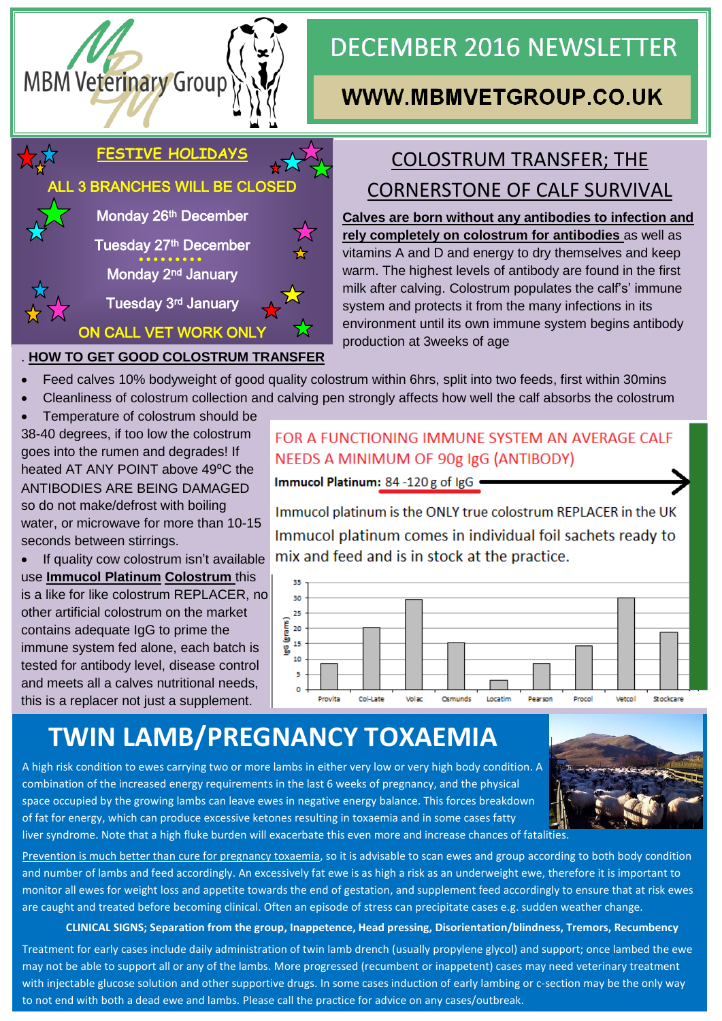

# **DECEMBER 2016 NEWSLETTER**

## **WWW.MBMVETGROUP.CO.UK**

#### **FESTIVE HOLIDAYS**

LL 3 BRANCHES WILL BE CLOSED

Monday 26<sup>th</sup> December

Tuesday 27th December

Monday 2nd January

Tuesday 3rd January

## ON CALL VET WORK ONLY . **HOW TO GET GOOD COLOSTRUM TRANSFER**

# COLOSTRUM TRANSFER; THE CORNERSTONE OF CALF SURVIVAL

**Calves are born without any antibodies to infection and rely completely on colostrum for antibodies** as well as vitamins A and D and energy to dry themselves and keep warm. The highest levels of antibody are found in the first milk after calving. Colostrum populates the calf's' immune system and protects it from the many infections in its environment until its own immune system begins antibody production at 3weeks of age

- Feed calves 10% bodyweight of good quality colostrum within 6hrs, split into two feeds, first within 30mins
- Cleanliness of colostrum collection and calving pen strongly affects how well the calf absorbs the colostrum
- Temperature of colostrum should be

38-40 degrees, if too low the colostrum goes into the rumen and degrades! If heated AT ANY POINT above 49°C the ANTIBODIES ARE BEING DAMAGED so do not make/defrost with boiling water, or microwave for more than 10-15 seconds between stirrings.

• If quality cow colostrum isn't available use **Immucol Platinum Colostrum** this is a like for like colostrum REPLACER, no other artificial colostrum on the market contains adequate IgG to prime the immune system fed alone, each batch is tested for antibody level, disease control and meets all a calves nutritional needs, this is a replacer not just a supplement.

#### FOR A FUNCTIONING IMMUNE SYSTEM AN AVERAGE CALF NEEDS A MINIMUM OF 90g IgG (ANTIBODY)

Immucol Platinum: 84 -120 g of IgG .

Immucol platinum is the ONLY true colostrum REPLACER in the UK Immucol platinum comes in individual foil sachets ready to mix and feed and is in stock at the practice.



# **TWIN LAMB/PREGNANCY TOXAEMIA**

A high risk condition to ewes carrying two or more lambs in either very low or very high body condition. A combination of the increased energy requirements in the last 6 weeks of pregnancy, and the physical space occupied by the growing lambs can leave ewes in negative energy balance. This forces breakdown of fat for energy, which can produce excessive ketones resulting in toxaemia and in some cases fatty liver syndrome. Note that a high fluke burden will exacerbate this even more and increase chances of fatalities.

Prevention is much better than cure for pregnancy toxaemia, so it is advisable to scan ewes and group according to both body condition and number of lambs and feed accordingly. An excessively fat ewe is as high a risk as an underweight ewe, therefore it is important to monitor all ewes for weight loss and appetite towards the end of gestation, and supplement feed accordingly to ensure that at risk ewes are caught and treated before becoming clinical. Often an episode of stress can precipitate cases e.g. sudden weather change.

#### **CLINICAL SIGNS; Separation from the group, Inappetence, Head pressing, Disorientation/blindness, Tremors, Recumbency**

Treatment for early cases include daily administration of twin lamb drench (usually propylene glycol) and support; once lambed the ewe may not be able to support all or any of the lambs. More progressed (recumbent or inappetent) cases may need veterinary treatment with injectable glucose solution and other supportive drugs. In some cases induction of early lambing or c-section may be the only way to not end with both a dead ewe and lambs. Please call the practice for advice on any cases/outbreak.